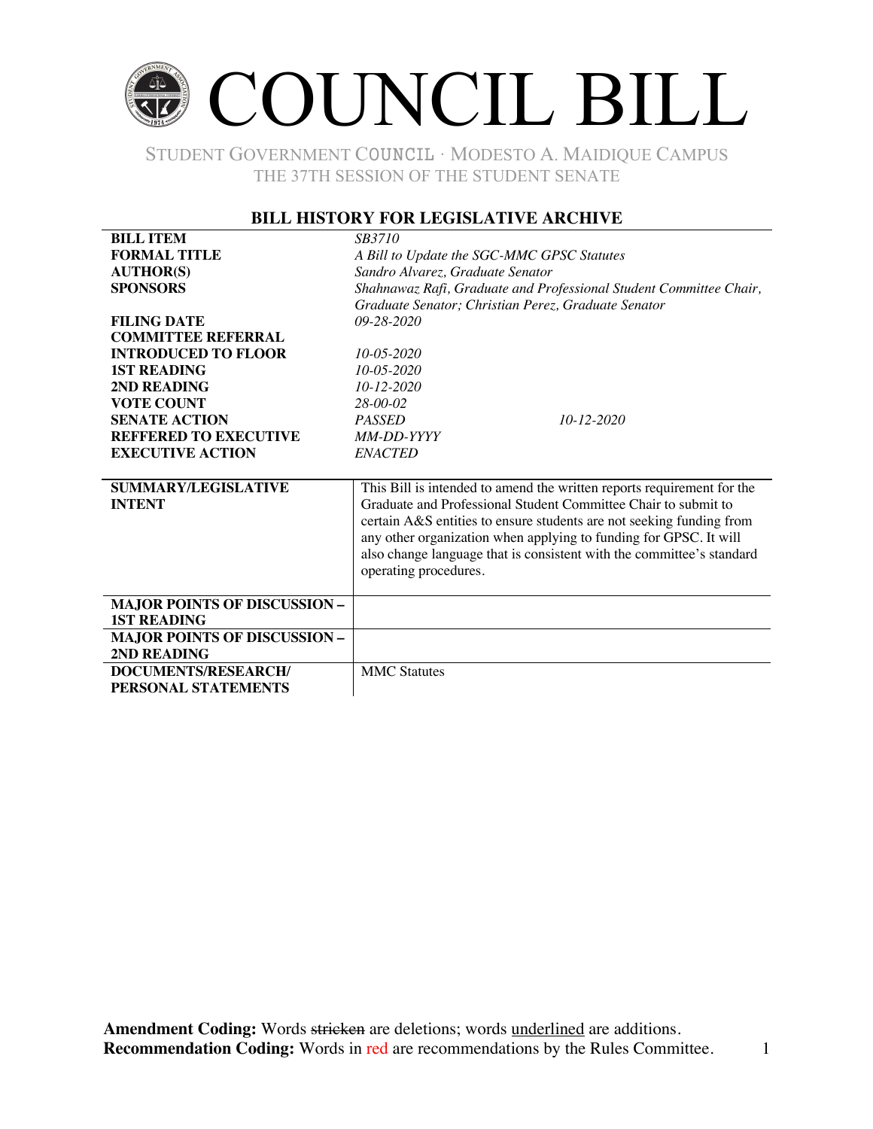# COUNCIL BILL

STUDENT GOVERNMENT COUNCIL ∙ MODESTO A. MAIDIQUE CAMPUS THE 37TH SESSION OF THE STUDENT SENATE

### **BILL HISTORY FOR LEGISLATIVE ARCHIVE**

| <b>BILL ITEM</b>                    | <i>SB3710</i>                                                          |  |
|-------------------------------------|------------------------------------------------------------------------|--|
| <b>FORMAL TITLE</b>                 | A Bill to Update the SGC-MMC GPSC Statutes                             |  |
| <b>AUTHOR(S)</b>                    | Sandro Alvarez, Graduate Senator                                       |  |
| <b>SPONSORS</b>                     | Shahnawaz Rafi, Graduate and Professional Student Committee Chair,     |  |
|                                     | Graduate Senator; Christian Perez, Graduate Senator                    |  |
| <b>FILING DATE</b>                  | $09 - 28 - 2020$                                                       |  |
| <b>COMMITTEE REFERRAL</b>           |                                                                        |  |
| <b>INTRODUCED TO FLOOR</b>          | $10 - 05 - 2020$                                                       |  |
| <b>1ST READING</b>                  | $10 - 05 - 2020$                                                       |  |
| 2ND READING                         | $10 - 12 - 2020$                                                       |  |
| <b>VOTE COUNT</b>                   | $28-00-02$                                                             |  |
| <b>SENATE ACTION</b>                | $10 - 12 - 2020$<br><b>PASSED</b>                                      |  |
| <b>REFFERED TO EXECUTIVE</b>        | MM-DD-YYYY                                                             |  |
| <b>EXECUTIVE ACTION</b>             | <b>ENACTED</b>                                                         |  |
|                                     |                                                                        |  |
| <b>SUMMARY/LEGISLATIVE</b>          | This Bill is intended to amend the written reports requirement for the |  |
| <b>INTENT</b>                       | Graduate and Professional Student Committee Chair to submit to         |  |
|                                     | certain A&S entities to ensure students are not seeking funding from   |  |
|                                     | any other organization when applying to funding for GPSC. It will      |  |
|                                     | also change language that is consistent with the committee's standard  |  |
|                                     | operating procedures.                                                  |  |
|                                     |                                                                        |  |
| <b>MAJOR POINTS OF DISCUSSION -</b> |                                                                        |  |
| <b>1ST READING</b>                  |                                                                        |  |
| <b>MAJOR POINTS OF DISCUSSION -</b> |                                                                        |  |
| 2ND READING                         |                                                                        |  |
| DOCUMENTS/RESEARCH/                 | <b>MMC</b> Statutes                                                    |  |
| PERSONAL STATEMENTS                 |                                                                        |  |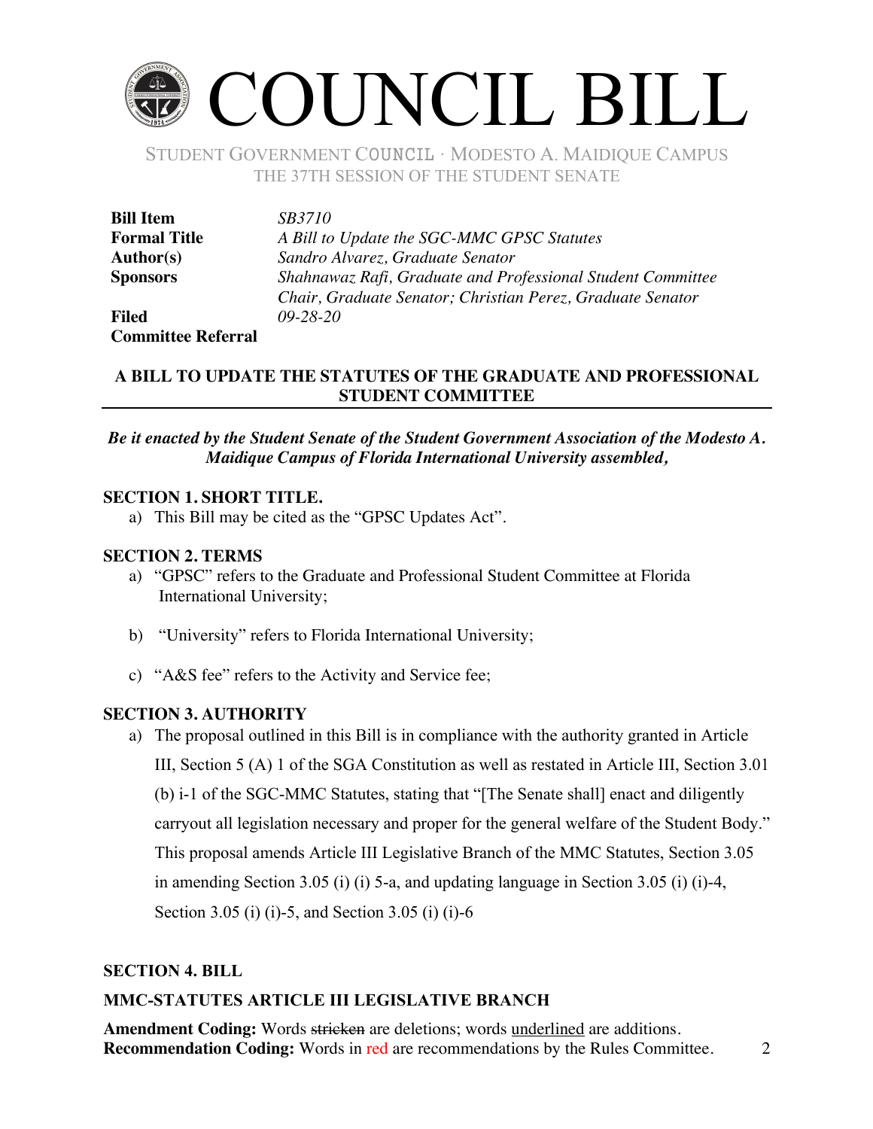# COUNCIL BILL

STUDENT GOVERNMENT COUNCIL ∙ MODESTO A. MAIDIQUE CAMPUS THE 37TH SESSION OF THE STUDENT SENATE

| <b>Bill Item</b>          | <i>SB3710</i>                                               |
|---------------------------|-------------------------------------------------------------|
| <b>Formal Title</b>       | A Bill to Update the SGC-MMC GPSC Statutes                  |
| <b>Author(s)</b>          | Sandro Alvarez, Graduate Senator                            |
| <b>Sponsors</b>           | Shahnawaz Rafi, Graduate and Professional Student Committee |
|                           | Chair, Graduate Senator; Christian Perez, Graduate Senator  |
| <b>Filed</b>              | $09 - 28 - 20$                                              |
| <b>Committee Referral</b> |                                                             |

# **A BILL TO UPDATE THE STATUTES OF THE GRADUATE AND PROFESSIONAL STUDENT COMMITTEE**

### *Be it enacted by the Student Senate of the Student Government Association of the Modesto A. Maidique Campus of Florida International University assembled,*

### **SECTION 1. SHORT TITLE.**

a) This Bill may be cited as the "GPSC Updates Act".

### **SECTION 2. TERMS**

- a) "GPSC" refers to the Graduate and Professional Student Committee at Florida International University;
- b) "University" refers to Florida International University;
- c) "A&S fee" refers to the Activity and Service fee;

### **SECTION 3. AUTHORITY**

a) The proposal outlined in this Bill is in compliance with the authority granted in Article III, Section 5 (A) 1 of the SGA Constitution as well as restated in Article III, Section 3.01 (b) i-1 of the SGC-MMC Statutes, stating that "[The Senate shall] enact and diligently carryout all legislation necessary and proper for the general welfare of the Student Body." This proposal amends Article III Legislative Branch of the MMC Statutes, Section 3.05 in amending Section 3.05 (i) (i) 5-a, and updating language in Section 3.05 (i) (i)-4, Section 3.05 (i) (i)-5, and Section 3.05 (i) (i)-6

### **SECTION 4. BILL**

### **MMC-STATUTES ARTICLE III LEGISLATIVE BRANCH**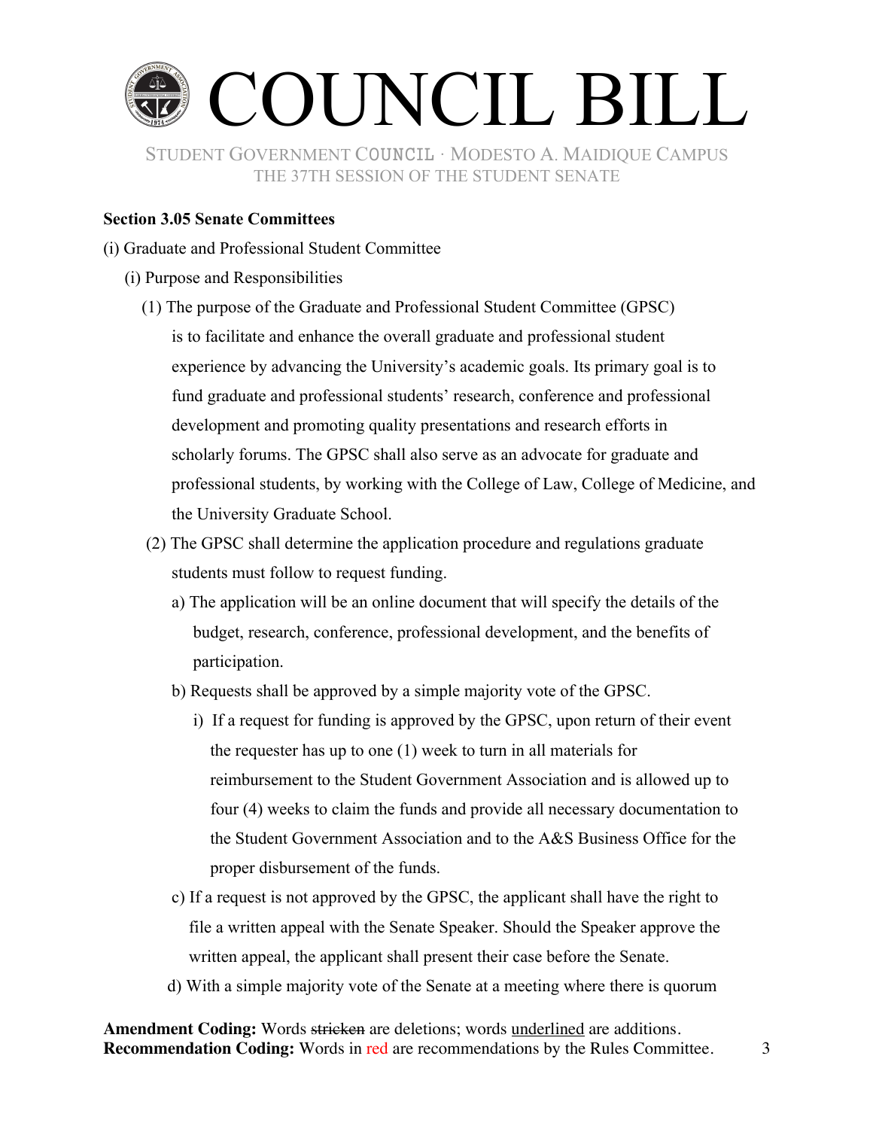

### **Section 3.05 Senate Committees**

- (i) Graduate and Professional Student Committee
	- (i) Purpose and Responsibilities
		- (1) The purpose of the Graduate and Professional Student Committee (GPSC) is to facilitate and enhance the overall graduate and professional student experience by advancing the University's academic goals. Its primary goal is to fund graduate and professional students' research, conference and professional development and promoting quality presentations and research efforts in scholarly forums. The GPSC shall also serve as an advocate for graduate and professional students, by working with the College of Law, College of Medicine, and the University Graduate School.
		- (2) The GPSC shall determine the application procedure and regulations graduate students must follow to request funding.
			- a) The application will be an online document that will specify the details of the budget, research, conference, professional development, and the benefits of participation.
			- b) Requests shall be approved by a simple majority vote of the GPSC.
				- i) If a request for funding is approved by the GPSC, upon return of their event the requester has up to one (1) week to turn in all materials for reimbursement to the Student Government Association and is allowed up to four (4) weeks to claim the funds and provide all necessary documentation to the Student Government Association and to the A&S Business Office for the proper disbursement of the funds.
			- c) If a request is not approved by the GPSC, the applicant shall have the right to file a written appeal with the Senate Speaker. Should the Speaker approve the written appeal, the applicant shall present their case before the Senate.
			- d) With a simple majority vote of the Senate at a meeting where there is quorum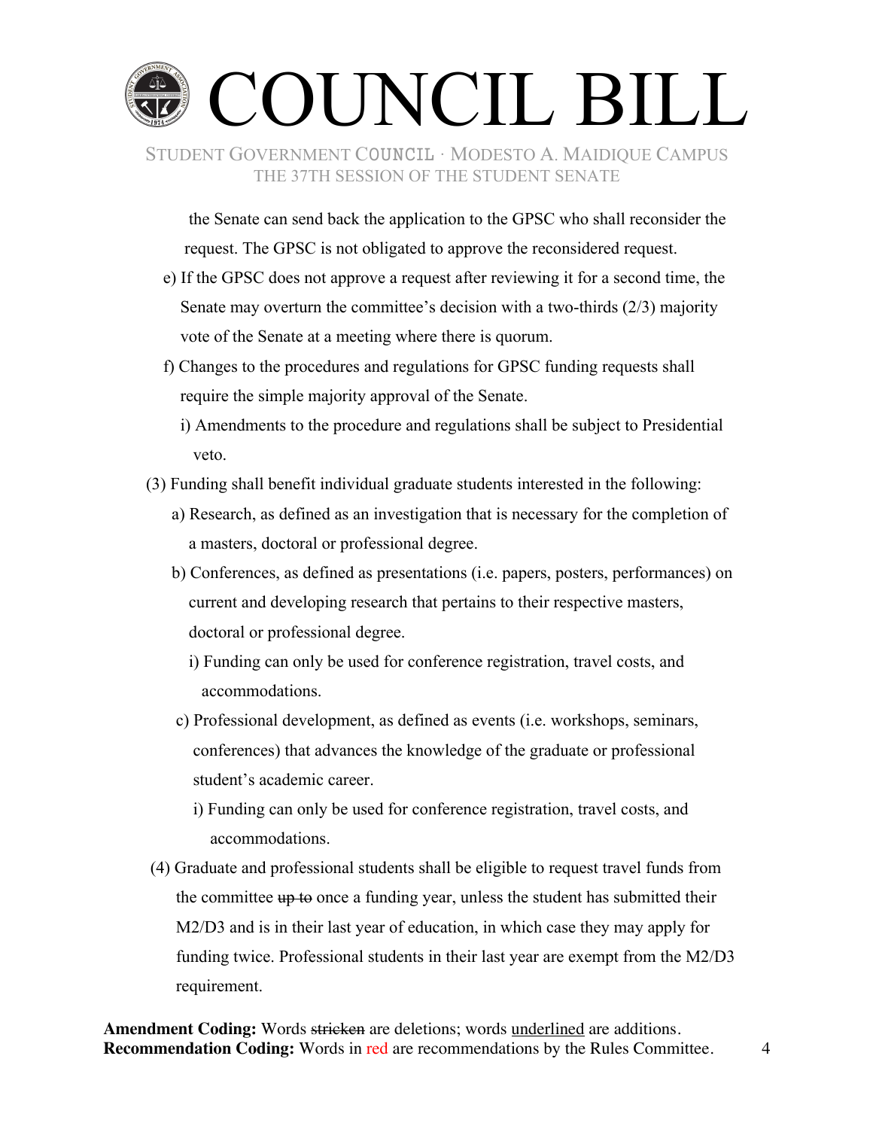

 the Senate can send back the application to the GPSC who shall reconsider the request. The GPSC is not obligated to approve the reconsidered request.

- e) If the GPSC does not approve a request after reviewing it for a second time, the Senate may overturn the committee's decision with a two-thirds (2/3) majority vote of the Senate at a meeting where there is quorum.
- f) Changes to the procedures and regulations for GPSC funding requests shall require the simple majority approval of the Senate.
	- i) Amendments to the procedure and regulations shall be subject to Presidential veto.
- (3) Funding shall benefit individual graduate students interested in the following:
	- a) Research, as defined as an investigation that is necessary for the completion of a masters, doctoral or professional degree.
	- b) Conferences, as defined as presentations (i.e. papers, posters, performances) on current and developing research that pertains to their respective masters, doctoral or professional degree.
		- i) Funding can only be used for conference registration, travel costs, and accommodations.
	- c) Professional development, as defined as events (i.e. workshops, seminars, conferences) that advances the knowledge of the graduate or professional student's academic career.
		- i) Funding can only be used for conference registration, travel costs, and accommodations.
- (4) Graduate and professional students shall be eligible to request travel funds from the committee  $\theta$  to once a funding year, unless the student has submitted their M2/D3 and is in their last year of education, in which case they may apply for funding twice. Professional students in their last year are exempt from the M2/D3 requirement.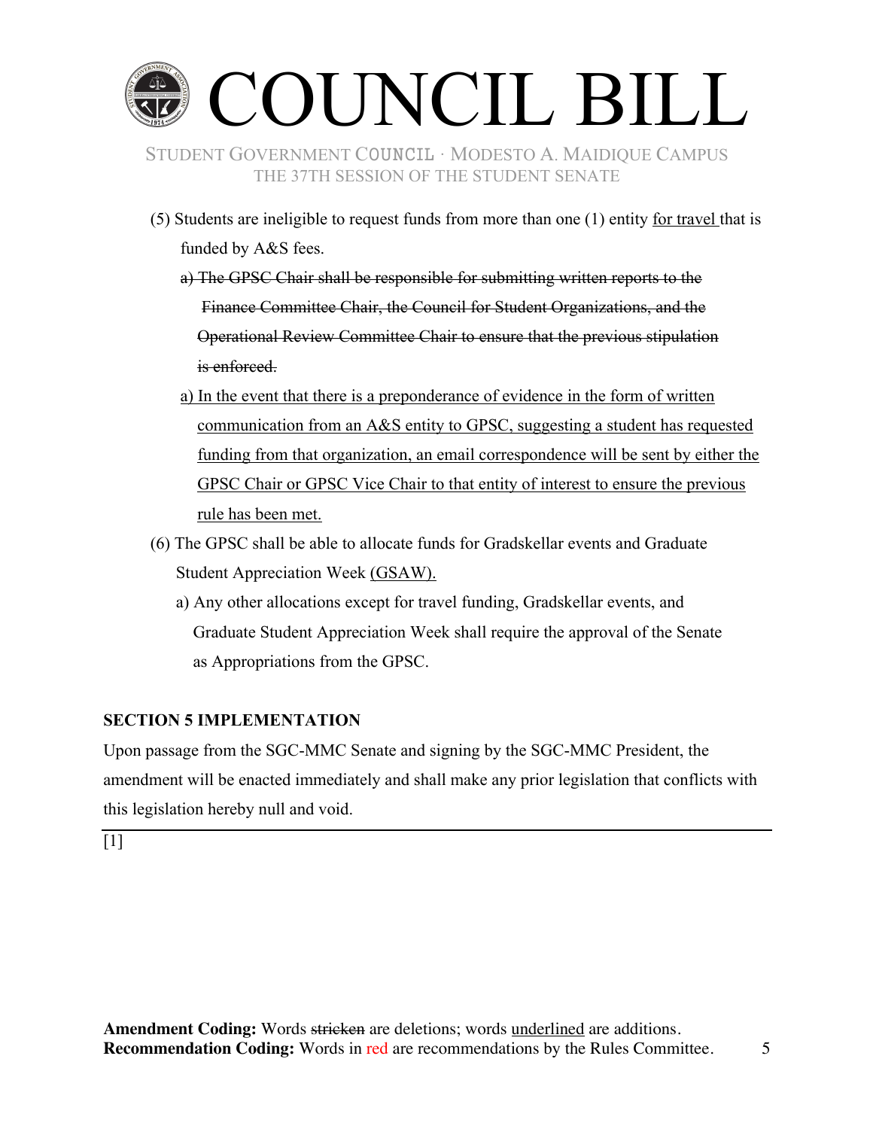

- (5) Students are ineligible to request funds from more than one (1) entity for travel that is funded by A&S fees.
	- a) The GPSC Chair shall be responsible for submitting written reports to the Finance Committee Chair, the Council for Student Organizations, and the Operational Review Committee Chair to ensure that the previous stipulation is enforced.
	- a) In the event that there is a preponderance of evidence in the form of written communication from an A&S entity to GPSC, suggesting a student has requested funding from that organization, an email correspondence will be sent by either the GPSC Chair or GPSC Vice Chair to that entity of interest to ensure the previous rule has been met.
- (6) The GPSC shall be able to allocate funds for Gradskellar events and Graduate Student Appreciation Week (GSAW).
	- a) Any other allocations except for travel funding, Gradskellar events, and Graduate Student Appreciation Week shall require the approval of the Senate as Appropriations from the GPSC.

# **SECTION 5 IMPLEMENTATION**

Upon passage from the SGC-MMC Senate and signing by the SGC-MMC President, the amendment will be enacted immediately and shall make any prior legislation that conflicts with this legislation hereby null and void.

[1]